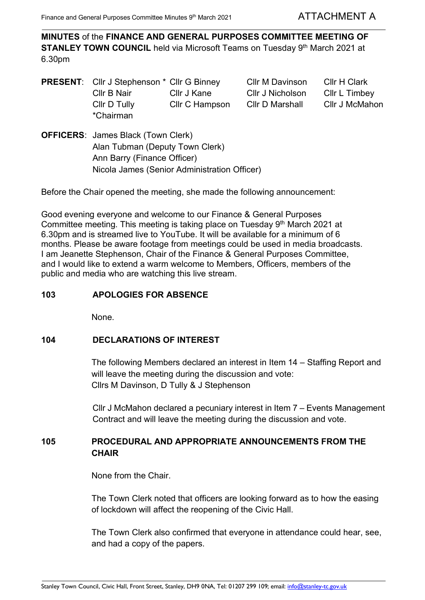**MINUTES** of the **FINANCE AND GENERAL PURPOSES COMMITTEE MEETING OF STANLEY TOWN COUNCIL** held via Microsoft Teams on Tuesday 9<sup>th</sup> March 2021 at 6.30pm

**PRESENT:** Cllr J Stephenson \* Cllr G Binney Cllr M Davinson Cllr H Clark Cllr B Nair Cllr J Kane Cllr J Nicholson Cllr L Timbey Cllr D Tully Cllr C Hampson Cllr D Marshall Cllr J McMahon \*Chairman

**OFFICERS**: James Black (Town Clerk) Alan Tubman (Deputy Town Clerk) Ann Barry (Finance Officer) Nicola James (Senior Administration Officer)

Before the Chair opened the meeting, she made the following announcement:

Good evening everyone and welcome to our Finance & General Purposes Committee meeting. This meeting is taking place on Tuesday  $9<sup>th</sup>$  March 2021 at 6.30pm and is streamed live to YouTube. It will be available for a minimum of 6 months. Please be aware footage from meetings could be used in media broadcasts. I am Jeanette Stephenson, Chair of the Finance & General Purposes Committee, and I would like to extend a warm welcome to Members, Officers, members of the public and media who are watching this live stream.

## **103 APOLOGIES FOR ABSENCE**

None.

### **104 DECLARATIONS OF INTEREST**

The following Members declared an interest in Item 14 – Staffing Report and will leave the meeting during the discussion and vote: Cllrs M Davinson, D Tully & J Stephenson

Cllr J McMahon declared a pecuniary interest in Item 7 – Events Management Contract and will leave the meeting during the discussion and vote.

# **105 PROCEDURAL AND APPROPRIATE ANNOUNCEMENTS FROM THE CHAIR**

None from the Chair.

The Town Clerk noted that officers are looking forward as to how the easing of lockdown will affect the reopening of the Civic Hall.

The Town Clerk also confirmed that everyone in attendance could hear, see, and had a copy of the papers.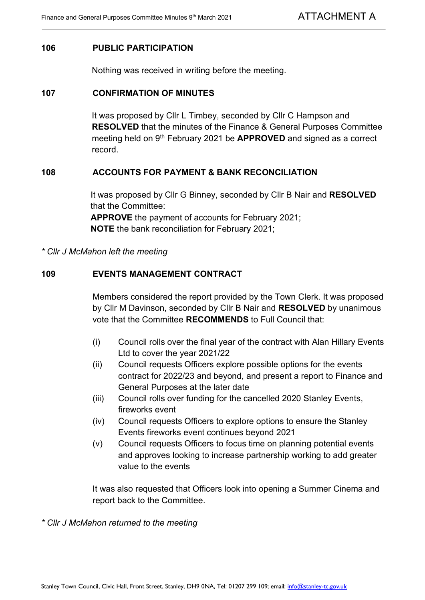#### **106 PUBLIC PARTICIPATION**

Nothing was received in writing before the meeting.

#### **107 CONFIRMATION OF MINUTES**

It was proposed by Cllr L Timbey, seconded by Cllr C Hampson and **RESOLVED** that the minutes of the Finance & General Purposes Committee meeting held on 9th February 2021 be **APPROVED** and signed as a correct record.

#### **108 ACCOUNTS FOR PAYMENT & BANK RECONCILIATION**

It was proposed by Cllr G Binney, seconded by Cllr B Nair and **RESOLVED** that the Committee: **APPROVE** the payment of accounts for February 2021; **NOTE** the bank reconciliation for February 2021;

*\* Cllr J McMahon left the meeting*

### **109 EVENTS MANAGEMENT CONTRACT**

Members considered the report provided by the Town Clerk. It was proposed by Cllr M Davinson, seconded by Cllr B Nair and **RESOLVED** by unanimous vote that the Committee **RECOMMENDS** to Full Council that:

- (i) Council rolls over the final year of the contract with Alan Hillary Events Ltd to cover the year 2021/22
- (ii) Council requests Officers explore possible options for the events contract for 2022/23 and beyond, and present a report to Finance and General Purposes at the later date
- (iii) Council rolls over funding for the cancelled 2020 Stanley Events, fireworks event
- (iv) Council requests Officers to explore options to ensure the Stanley Events fireworks event continues beyond 2021
- (v) Council requests Officers to focus time on planning potential events and approves looking to increase partnership working to add greater value to the events

It was also requested that Officers look into opening a Summer Cinema and report back to the Committee.

*\* Cllr J McMahon returned to the meeting*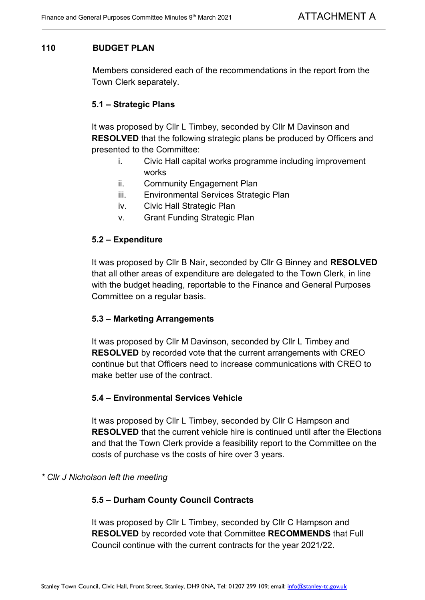# **110 BUDGET PLAN**

Members considered each of the recommendations in the report from the Town Clerk separately.

# **5.1 – Strategic Plans**

It was proposed by Cllr L Timbey, seconded by Cllr M Davinson and **RESOLVED** that the following strategic plans be produced by Officers and presented to the Committee:

- i. Civic Hall capital works programme including improvement works
- ii. Community Engagement Plan
- iii. Environmental Services Strategic Plan
- iv. Civic Hall Strategic Plan
- v. Grant Funding Strategic Plan

### **5.2 – Expenditure**

It was proposed by Cllr B Nair, seconded by Cllr G Binney and **RESOLVED** that all other areas of expenditure are delegated to the Town Clerk, in line with the budget heading, reportable to the Finance and General Purposes Committee on a regular basis.

### **5.3 – Marketing Arrangements**

It was proposed by Cllr M Davinson, seconded by Cllr L Timbey and **RESOLVED** by recorded vote that the current arrangements with CREO continue but that Officers need to increase communications with CREO to make better use of the contract.

### **5.4 – Environmental Services Vehicle**

It was proposed by Cllr L Timbey, seconded by Cllr C Hampson and **RESOLVED** that the current vehicle hire is continued until after the Elections and that the Town Clerk provide a feasibility report to the Committee on the costs of purchase vs the costs of hire over 3 years.

### *\* Cllr J Nicholson left the meeting*

### **5.5 – Durham County Council Contracts**

It was proposed by Cllr L Timbey, seconded by Cllr C Hampson and **RESOLVED** by recorded vote that Committee **RECOMMENDS** that Full Council continue with the current contracts for the year 2021/22.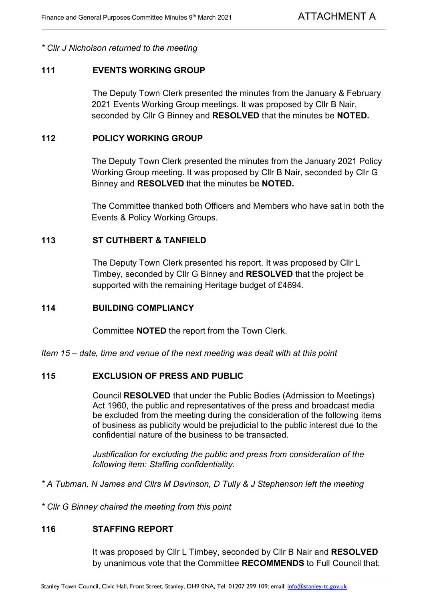*\* Cllr J Nicholson returned to the meeting*

#### **111 EVENTS WORKING GROUP**

The Deputy Town Clerk presented the minutes from the January & February 2021 Events Working Group meetings. It was proposed by Cllr B Nair, seconded by Cllr G Binney and **RESOLVED** that the minutes be **NOTED.**

#### **112 POLICY WORKING GROUP**

The Deputy Town Clerk presented the minutes from the January 2021 Policy Working Group meeting. It was proposed by Cllr B Nair, seconded by Cllr G Binney and **RESOLVED** that the minutes be **NOTED.**

The Committee thanked both Officers and Members who have sat in both the Events & Policy Working Groups.

#### **113 ST CUTHBERT & TANFIELD**

The Deputy Town Clerk presented his report. It was proposed by Cllr L Timbey, seconded by Cllr G Binney and **RESOLVED** that the project be supported with the remaining Heritage budget of £4694.

#### **114 BUILDING COMPLIANCY**

Committee **NOTED** the report from the Town Clerk.

*Item 15 – date, time and venue of the next meeting was dealt with at this point*

### **115 EXCLUSION OF PRESS AND PUBLIC**

Council **RESOLVED** that under the Public Bodies (Admission to Meetings) Act 1960, the public and representatives of the press and broadcast media be excluded from the meeting during the consideration of the following items of business as publicity would be prejudicial to the public interest due to the confidential nature of the business to be transacted.

*Justification for excluding the public and press from consideration of the following item: Staffing confidentiality.*

*\* A Tubman, N James and Cllrs M Davinson, D Tully & J Stephenson left the meeting*

*\* Cllr G Binney chaired the meeting from this point*

### **116 STAFFING REPORT**

It was proposed by Cllr L Timbey, seconded by Cllr B Nair and **RESOLVED** by unanimous vote that the Committee **RECOMMENDS** to Full Council that: